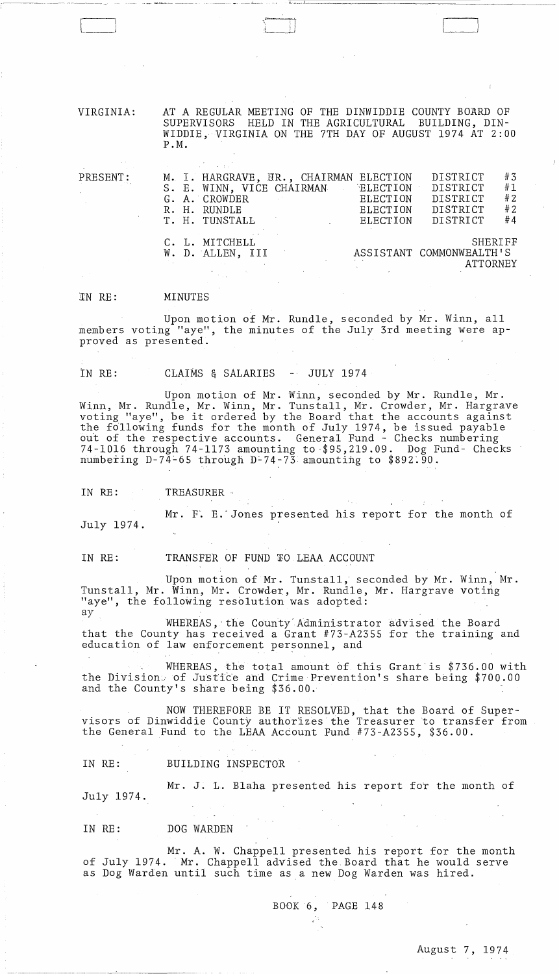VIRGINIA: AT A REGULAR MEETING OF THE DINWIDDIE COUNTY BOARD OF SUPERVISORS HELD IN THE AGRICULTURAL BUILDING, DIN-WIDDIE, VIRGINIA ON THE 7TH DAY OF AUGUST 1974 AT 2:00 P.M.

 $\begin{picture}(180,170)(-0.75,0.75) \put(0,0){\line(1,0){155}} \put(1,0){\line(1,0){155}} \put(1,0){\line(1,0){155}} \put(1,0){\line(1,0){155}} \put(1,0){\line(1,0){155}} \put(1,0){\line(1,0){155}} \put(1,0){\line(1,0){155}} \put(1,0){\line(1,0){155}} \put(1,0){\line(1,0){155}} \put(1,0){\line(1,0){155}} \put(1,0){\line(1,0){15$  $\sqrt{1}$ .L J <sup>J</sup>

| PRESENT: | M. I. HARGRAVE, UR., CHAIRMAN ELECTION<br>S. E. WINN, VICE CHAIRMAN ELECTION<br>G. A. CROWDER<br>R. H. RUNDLE<br>T. H. TUNSTALL | ELECTION<br>ELECTION<br>ELECTION | DISTRICT<br>DISTRICT<br>DISTRICT<br>DISTRICT<br>DISTRICT | #3<br>#1<br>#2<br># 2<br>#4 |
|----------|---------------------------------------------------------------------------------------------------------------------------------|----------------------------------|----------------------------------------------------------|-----------------------------|
|          | C. L. MITCHELL<br>W. D. ALLEN, III                                                                                              |                                  | ASSISTANT COMMONWEALTH'S<br><b>ATTORNEY</b>              | SHERIFF                     |

IN RE: MINUTES

L\_J

Upon motion of Mr. Rundle, seconded by Mr. Winn, all members voting "aye", the minutes of the July 3rd meeting were approved as presented.

IN RE: CLAIMS & SALARIES - JULY 1974

Upon motion of Mr. Winn, seconded by Mr. Rundle, Mr. Winn, Mr. Rundle, Mr. Winn, Mr. Tunstall, Mr. Crowder, Mr. Hargrave voting "aye", be it ordered by the Board that the accounts against the f6llowing funds for the month of July 1974, be issued payable out of the respective accounts. General Fund - Checks numbering 74-1016 through 74-1173 amounting to '\$95,219.09. Dog Fund- Checks numbering D-74-65 through D-74-73 amounting to  $$892.90.$ 

IN RE: TREASURER

Mr. F. E. Jones presented his report for the month of July 1974.

IN RE: TRANSFER OF FUND TO LEAA ACCOUNT

Upon motion of Mr. Tunstall, seconded by Mr. Winn, Mr. Tunstall, Mr. Winn, Mr. Crowder, Mr. Rundle, Mr. Hargrave voting "aye", the following resolution was adopted: ay

WHEREAS, the County Administrator advised the Board that the County has received a Grant #73-A2355 for the training and education of law enforcement personnel, and

WHEREAS, the total amount of this Grant'is \$736.00 with the Division of Justice and Crime Prevention's share being \$700.00 and the County's share being \$36.00.

NOW THEREFORE BE IT RESOLVED, that the Board of Supervisors of Dinwiddie County authorizes 'the Treasurer to transfer from the General Fund to the LEAA Account Fund #73-A23SS, \$36.00.

IN RE: BUILDING INSPECTOR

Mr. J. L. Blaha presented his report for the month of

July 1974.

IN RE: DOG WARDEN

Mr. A. W. Chappell presented his report for the month of July 1974. Mr. Chappell advised the Board that he would serve as Dog Warden until such time as a new Dog Warden was hired.

BOOK 6, PAGE 148

 $\varphi^{(1)}$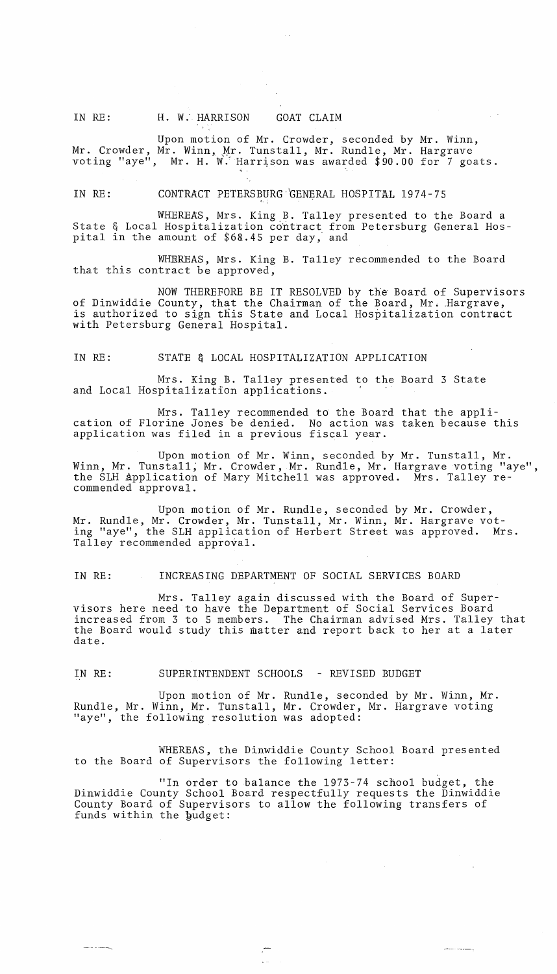IN RE: H. W. HARRISON GOAT CLAIM

Upon motion of Mr. Crowder, seconded by Mr. Winn, Mr. Crowder, Mr. Winn, Mr. Tunstall, Mr. Rundle, Mr. Hargrave voting "aye", Mr. H. W. Harrison was awarded \$90.00 for 7 goats.

IN RE: CONTRACT PETERSBURG GENERAL HOSPITAL 1974-75

WHEREAS, Mrs. King B. Talley presented to the Board a State & Local Hospitalization contract from Petersburg General Hospital in the amount of \$68.45 per day, and

WHRREAS, Mrs. King B. Talley recommended to the Board that this contract be approved,

NOW THEREFORE BE IT RESOLVED by the- Board of Supervisors of Dinwiddie County, that the Chairman of the Board, Mr. Hargrave, is authorized to sign this State and Local Hospitalization contract with Petersburg General Hospital.

#### IN RE: STATE & LOCAL HOSPITALIZATION APPLICATION

Mrs. King B. Talley presented to the Board 3 State and Local Hospitalization applications.

Mrs. Talley recommended to the Board that the application of Florine Jones be denied. No action was taken because this application was filed in a previous fiscal year.

Upon motion of Mr. Winn, seconded by Mr. Tunstall, Mr. Winn, Mr. Tunstall; Mr. Crowder, Mr. Rundle, Mr. Hargrave voting "aye", the SLH application of Mary Mitchell was approved. Mrs. Talley recommended approval.

Upon motion of Mr. Rundle, seconded by Mr. Crowder, Mr. Rundle, Mr. Crowder, Mr. Tunstall, Mr. Winn, Mr. Hargrave voting "aye", the SLH application of Herbert Street was approved. Mrs. Talley recommended approval.

IN RE: INCREASING DEPARTMENT OF SOCIAL SERVICES BOARD

Mrs. Talley again discussed with the Board of Supervisors here need to have the Department of Social Services Board increased from 3 to 5 members. The Chairman advised Mrs. Talley that the Board would study this matter and report back to her at a later date.

IN RE: SUPERINTENDENT SCHOOLS - REVISED BUDGET

---~---,

Upon motion of Mr. Rundle, seconded by Mr. Winn, Mr. Rundle, Mr. Winn, Mr. Tunstall, Mr. Crowder, Mr. Hargrave voting "aye", the following resolution was adopted:

WHEREAS, the Dinwiddie County School Board presented to the Board of Supervisors the following letter:

"In order to balance the 1973-74 school budget, the Dinwiddie County School Board respectfully requests the Dinwiddie County Board of Supervisors to allow the following transfers of funds within the budget: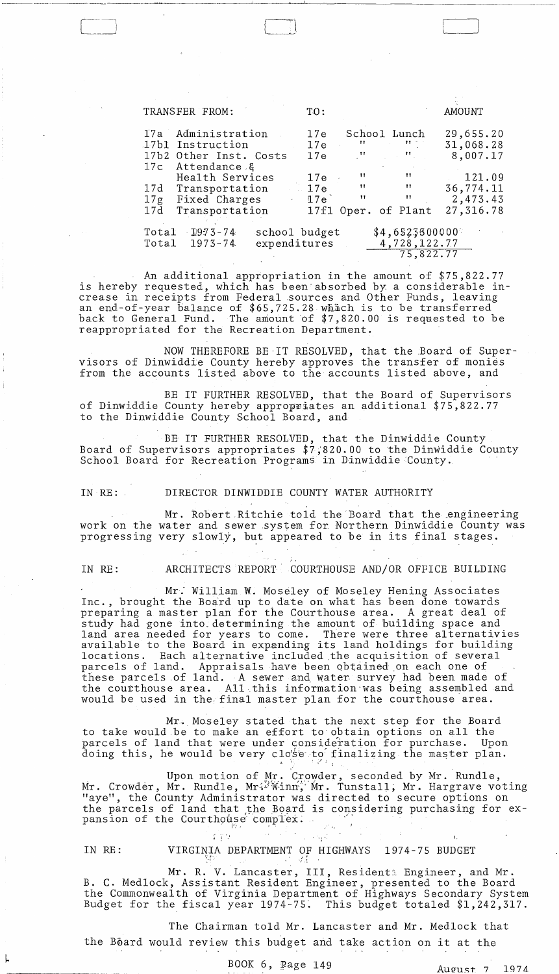| TRANSFER FROM:                                                                                                         | $T0$ :                                                                                                                                                              | AMOUNT                             |
|------------------------------------------------------------------------------------------------------------------------|---------------------------------------------------------------------------------------------------------------------------------------------------------------------|------------------------------------|
| 17a Administration<br>17b1 Instruction<br>17b2 Other Inst. Costs                                                       | School Lunch<br>17e<br>$\mathbf{H}_{\text{max}} = \mathbf{H}_{\text{max}}$<br>17e<br>$\mathbf{u}_1$ and $\mathbf{u}_2$ and $\mathbf{u}_3$ and $\mathbf{u}_4$<br>17e | 29,655.20<br>31,068.28<br>8,007.17 |
| 17c Attendance &<br>Health Services<br>17d Transportation<br>$\mathcal{L} = \mathcal{L}$ .<br>Fixed Charges 47e<br>17g | $\sim 10$ M $_{\odot}$<br>$\sim 11$<br>17e<br>$\sim 100$<br><b><i>Contract Contract Times</i></b><br>17e<br><b>Contract Contract Property</b><br>$\mathbf{1}$       | 121.09<br>36,774.11<br>2,473.43    |
| 17d<br>Transportation                                                                                                  | Oper. of Plant<br>17f1                                                                                                                                              | 27,316.78                          |
| $Total$ $I973-74$<br>school budget<br>Total 1973-74<br>expenditures                                                    | \$4,6523600000<br>4,728,122.77<br>75,822.77                                                                                                                         |                                    |

An additional appropriation in the amount of \$75,822.77 is hereby requested, which has been absorbed by a considerable increase in receipts from Federal sources and Other Funds, leaving an end-of-year balance of  $$65,725.28$  which is to be transferred back to General Fund. The amount of  $$7,820.00$  is requested to be reappropriated for the Recreation Department.

NOW THEREFORE BE IT RESOLVED, that the Board of Supervisors of Dinwiddie County hereby approves the transfer of monies from the accounts listed above to the accounts listed above, and

BE IT FURTHER RESOLVED, that the Board of Supervisors of Dinwiddie County hereby appropriates an additional \$75,822.77 to the Dinwiddie County School Board, and

BE IT FURTHER RESOLVED, that the Dinwiddie County Board of Supervisors appropriates \$7,820.00 to the Dinwiddie County School Board for Recreation Programs in Dinwiddie County.

IN RE: DIRECTOR DINWIDDIE COUNTY WATER AUTHORITY

Mr. Robert Ritchie told the Board that the engineering work on the water and sewer system for Northern Dinwiddie County was progressing very slowly, but appeared to be in its final stages.

# IN RE: ARCHITECTS REPORT COURTHOUSE AND/OR OFFICE BUILDING

Mr. William W. Moseley of Moseley Hening Associates Inc., brought the Board up to date on what has been done towards preparing a master plan for the Courthouse area. A great deal of study had gone into determining the amount of building space and land area needed for years to come. There were three alternativies available to the Board in expanding its land holdings for building locations. Each alternative included the acquisition of several parcels of land. Appraisals have been obtained on each one of these parcels of land. A sewer and water survey had been made of the courthouse area. All this information was being assembled and would be used in the final master plan for the courthouse area.

Mr. Moseley stated that the next step for the Board to take would be to make an effort to obtain options on all the parcels of land that were under consideration for purchase. Upon doing this, he would be very close to finalizing the master plan.

Upon motion of Mr. Crowder, seconded by Mr. Rundle, Mr. Crowder, Mr. Rundle, Mr<sup>. P</sup>Winn<sup>4</sup>; Mr. Tunstall, Mr. Hargrave voting "aye", the County Administrator was directed to secure options on the parcels of land that the Board is considering purchasing for expansion of the Courthouse complex.

, the contribution of the sequence of the contribution  $\mathbf{h}$ 

# IN RE: VIRGINIA DEPARTMENT OF HIGHWAYS 1974-75 BUDGET

Mr. R. V. Lancaster, III, Residenti Engineer, and Mr. B. C. Medlock, Assistant Resident Engineer, presented to the Board the Cammanwealth af Virginia Department af Highways Secandary System Budget for the fiscal year  $1974-75$ . This budget totaled \$1,242,317.

The Chairman told Mr. Lancaster and Mr. Medlock that the Board would review this budget and take action on it at the

BOOK 6, Page 149 August 7 1974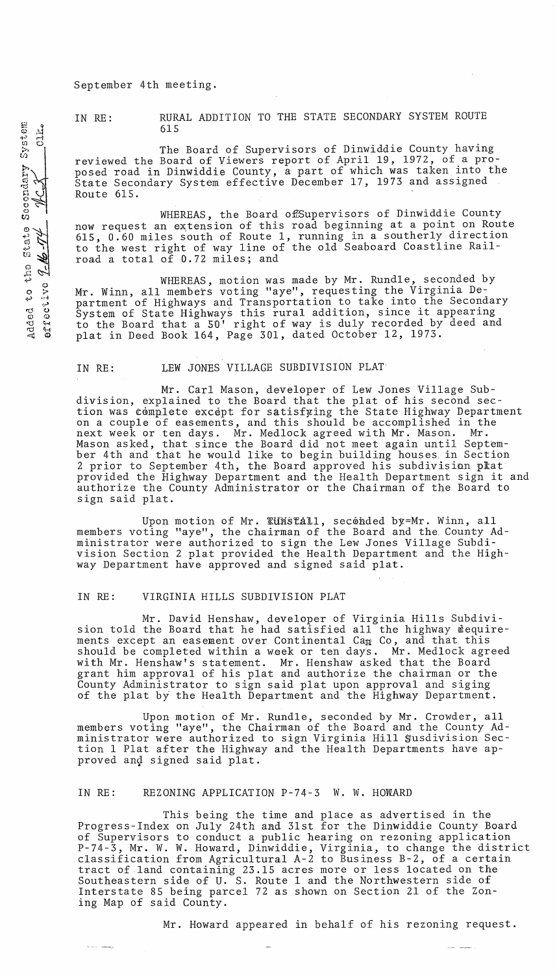September 4th meeting.

IN RE: RURAL ADDITION TO THE STATE SECONDARY SYSTEM ROUTE 615

The Board of Supervisors of Dinwiddie County having reviewed the Board of Viewers report of April 19, 1972, of a proposed road in Dinwiddie County, a part of which was taken into the State Secondary System effective December 17, 1973 and assigned Route 615.

WHEREAS, the Board offSupervisors of Dinwiddie County now request an extension of this road beginning at a point on Route 615, 0.60 miles south of Route 1, running in a southerly direction to the west right of way line of the old Seaboard Coastline Railroad a total of 0.72 miles; and

WHEREAS, motion was made by Mr. Rundle, seconded by Mr. Winn, all members voting "aye", requesting the Virginia Department of Highways and Transportation to take into the Secondary System of State Highways this rural addition, since it appearing to the Board that a 50' right of way is duly recorded by deed and plat in Deed Book 164, Page 301, dated October 12, 1973.

## IN RE: LEW JONES VILLAGE SUBDIVISION PLAT

Mr. Carl Mason, developer of Lew Jones Village Subdivision, explained to the Board that the plat of his second section was complete except for satisfying the State Highway Department on a couple of easements, and this should be accomplished in the<br>next week or ten days. Mr. Medlock agreed with Mr. Mason. Mr. next week or ten days. Mr. Medlock agreed with Mr. Mason. Mason asked, that since the Board did not meet again until September 4th and that he would like to begin building houses. in Section 2 prior to September 4th, the Board approved his subdivision plat provided the Highway Department and the Health Department sign it and authorize the County Administrator or the Chairman of the Board to sign said plat.

Upon motion of Mr. **TUNSTAL1**, seconded by=Mr. Winn, all members voting "aye", the chairman of the Board and the. County Administrator were authorized to sign the Lew Jones Village Subdivision Section 2 plat provided the Health Department and the Highway Department have approved and signed said plat.

### IN RE: VIRGINIA HILLS SUBDIVISION PLAT

Mr. David Henshaw, developer of Virginia Hills Subdivision told the Board that he had satisfied all the highway dequirements except an easement over Continental Ca $_{\rm R}$  Co, and that this should be completed within a week or ten days. Mr. Medlock agreed with Mr. Henshaw's statement. Mr. Henshaw asked that the Board grant him approval of his plat and authorize the chairman or the County Administrator to sign said plat upon approval and siging of the plat by the Health Department and the Highway Department.

Upon motion of Mr. Rundle, seconded by Mr. Crowder, all members voting "aye", the Chairman of the Board and the County Administrator were authorized to sign Virginia Hill Susdivision Section 1 Plat after the Highway and the Health Departments have approved and signed said plat.

#### IN RE: REZONING APPLICATION P-74-3 W. W. HOWARD

a so many

This being the time and place as advertised in the Progress-Index on July 24th and 31st for the Dinwiddie County Board of Supervisors to conduct a public hearing on rezoning application P-74-3, Mr. W. W. Howard, Dinwiddie, Virginia, to change the district classification from Agricultural A-2 to Business B-2, of a certain tract of land containing 23.15 acres more or less located on the Southeastern side of U. S. Route 1 and the Northwestern side of Interstate 85 being parcel 72 as shown on Section 21 of the Zoning Map of said County.

Mr. Howard appeared in behalf of his rezoning request.

 $5y$  s  $t$  en  $\mathbb{S}^3$ e<br>Ctate  $\Xi$ ن م ب<br>دير Added *q*  ....... ,.., .-I  $\mathbf{c}$ errective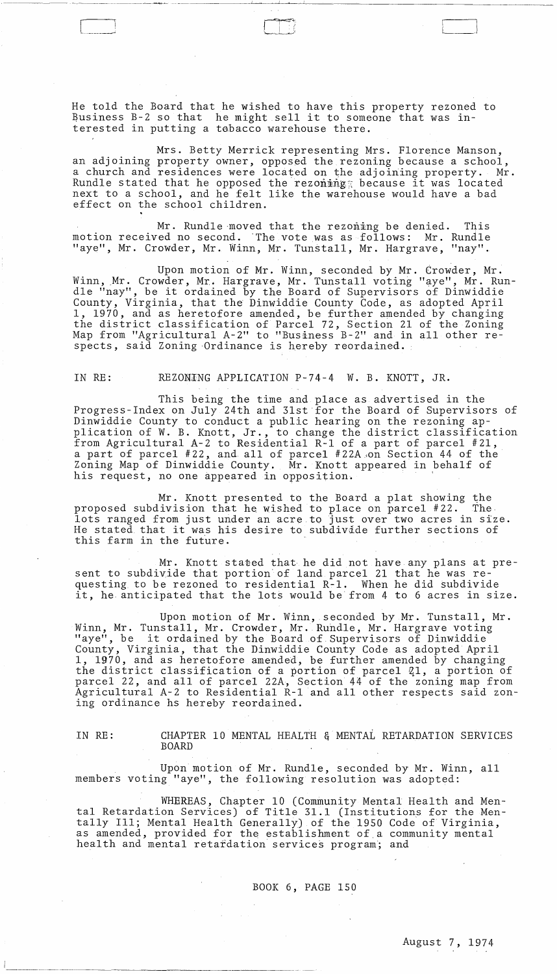He told the Board that he wished to have this property rezoned to Business B-2 so that he might sell it to someone that was interested in putting a tabacco warehouse there.

"-".~~~-~-------------------------------

Mrs. Betty Merrick representing Mrs. Florence Manson, an adjoining property owner, opposed the rezoning because a school, a church and residences were located on the adjoining property. Mr. Rundle stated that he opposed the rezonings because it was located next to a school, and he felt like the warehouse would have a bad effect on the school children.

Mr. Rundle moved that the rezoning be denied. This motion received no second. 'The vote was as follows: Mr. Rundle "aye", Mr. Crowder, Mr. Winn, Mr. Tunstall, Mr. Hargrave, "nay".

Upon motion of Mr. Winn, seconded by Mr. Crowder, Mr. Winn, Mr. Crowder, Mr. Hargrave, Mr. Tunstall voting "aye", Mr. Runwinn, m. Clowdel, m. haigiave, m. lunstail voting aye, m. Kun<br>dle "nay", be it ordained by the Board of Supervisors of Dinwiddie County, Virginia, that the Dinwiddie County Code, as adopted April 1, 1970, and as heretofore amended, be further amended by changing the district classification of Parcel 72, Section 21 of the Zoning Map from "Agricultural A-2" to "Business B-2" and in all other respects, said Zoning Ordinance is hereby reordained.

## IN RE: REZONING APPLICATION P-74-4 W. B. KNOTT, JR.

This being the time and place as advertised in the Progress-Index on July 24th and 31st for the Board of Supervisors of Dinwiddie County to conduct a public hearing on the rezoning application of W. B. Knott, Jr., to change the district classification from Agricultural A-2 to Residential R-l of a part of parcel #21, a part of parcel #22. and all of parcel #22A,on Section 44 of the Zoning Map of Dinwiddie County. Mr. Knott appeared in behalf of his request, no one appeared in opposition.

Mr. Knott presented to the Board a plat showing the livision that he wished to place on parcel  $#22$ . The proposed subdivision that he wished to place on parcel #22. lots ranged from just under an acre to just over two acres in size. He stated that it was his desire to subdivide further sections of this farm in the future.

Mr. Knott stated that he did not have any plans at present to subdivide that portion' of land parcel 21 that he was requesting to be rezoned to residential R-l. When he did subdivide it, he anticipated that the lots would be from 4 to 6 acres in size.

Upon motion of Mr. Winn, seconded by Mr. Tunstall, Mr. Winn, Mr. Tunstall, Mr. Crowder, Mr. Rundle, Mr. Hargrave voting "aye", be it ordained by the Board of Supervisors of Dinwiddie County, Virginia, that the Dinwiddie County Code as adopted April 1, 1970, and as heretofore amended, be further amended by changing the district classification of a portion of parcel  $q_1$ , a portion of parcel 22, and all of parcel 22A, Section 44 of the zoning map from Agricultural A-2 to Residential R-l and all other respects said zoning ordinance hs hereby reordained.

-------.---.~-.----------------------.---~

#### IN RE: CHAPTER 10 MENTAL HEALTH & MENTAL RETARDATION SERVICES BOARD

Upon motion of Mr. Rundle, seconded by Mr. Winn, all members voting "aye", the following resolution was adopted:

WHEREAS, Chapter 10 (Community Mental Health and Mental Retardation Services) of Title 31.1 (Institutions for the Mentally Ill; Mental Health Generally) of the 1950 Code of Virginia, as amended, provided for the establishment of a community mental health and mental retardation services program; and

 $\sim$  8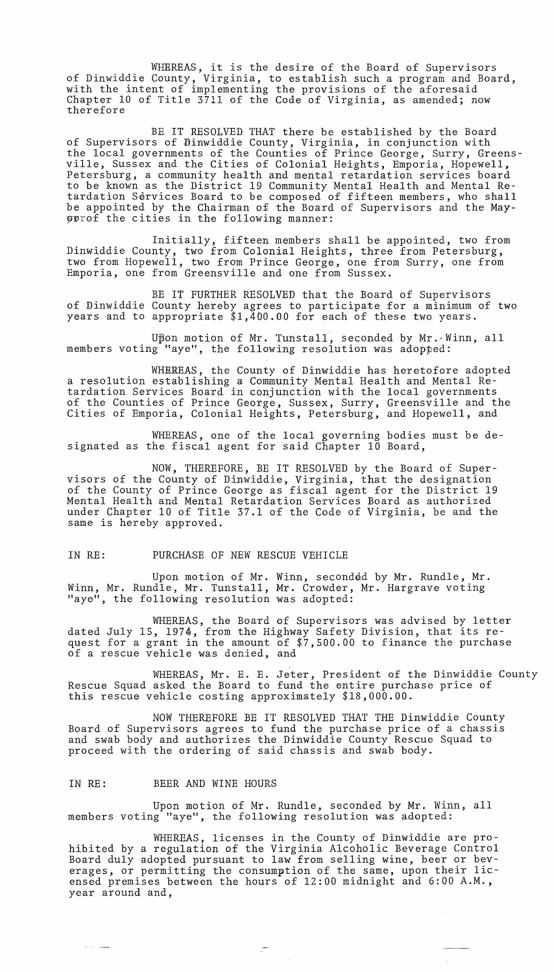WHEREAS, it is the desire of the Board of Supervisors of Dinwiddie County, Virginia, to establish such a program and Board, with the intent of implementing the provisions of the aforesaid Chapter 10 of Title 3711 of the Code of Virginia, as amended; now therefore

BE IT RESOLVED THAT there be established by the Board of Supervisors of Binwiddie County, Virginia, in conjunction with the local governments of the Counties of Prince George, Surry, Greensville, Sussex and the Cities of Colonial Heights, Emporia, Hopewell, Petersburg, a community health and mental retardation services board to be known as the District 19 Community Mental Health and Mental Retardation Services Board to be composed of fifteen members, who shall be appointed by the Chairman of the Board of Supervisors and the May gorof the cities in the following manner:

Initially, fifteen members shall be appointed, two from Dinwiddie County, two from Colonial Heights, three from Petersburg, two from Hopewell, two from Prince George, one from Surry, one from Emporia, one from Greensville and one from Sussex.

BE IT FURTHER RESOLVED that the Board of Supervisors of Dinwiddie County hereby agrees to participate for a minimum of two years and to appropriate \$1,400.00 for each of these two years.

Upon motion of Mr. Tunstall, seconded by Mr. Winn, all members voting "aye", the following resolution was adopped:

WHEREAS, the County of Dinwiddie has heretofore adopted a resolution establishing a Community Mental Health and Mental Retardation Services Board in conjunction with the local governments of the Counties of Prince George, Sussex, Surry, Greensville and the Cities of Emporia, Colonial Heights, Petersburg, and Hopewell, and

WHEREAS, one of the local governing bodies must be designated as the fiscal agent for said Chapter 10 Board,

NOW, THEREFORE, BE IT RESOLVED by the Board of Supervisors of the County of Dinwiddie, Virginia, that the designation of the County of Prince George as fiscal agent for the District 19 Mental Health and Mental Retardation Services Board as authorized under Chapter 10 of Title 37.1 of the Code of Virginia, be and the same is hereby approved.

### IN RE: PURCHASE OF NEW RESCUE VEHICLE

Upon motion of Mr. Winn, seconded by Mr. Rundle, Mr. Winn, Mr. Rundle, Mr. Tunstall, Mr. Crowder, Mr. Hargrave voting "aye", the following resolution was adopted:

WHEREAS, the Board of Supervisors was advised by letter dated July 15, 1974, from the Highway Safety Division, that its request for a grant in the amount of \$7,500.00 to finance the purchase of a rescue vehicle was denied, and

WHEREAS, Mr. E. E. Jeter, President of the Dinwiddie County Rescue Squad asked the Board to fund the entire purchase price of this rescue vehicle costing approximately \$18,000.00.

NOW THEREFORE BE IT RESOLVED THAT THE Dinwiddie County Board of Supervisors agrees to fund the purchase price of a chassis and swab body and authorizes the Dinwiddie County Rescue Squad to proceed with the ordering of said chassis and swab body.

#### IN RE: BEER AND WINE HOURS

Upon motion of Mr. Rundle, seconded by Mr. Winn, all members voting "aye", the following resolution was adopted:

WHEREAS, licenses in the County of Dinwiddie are prohibited by a regulation of the Virginia Alcoholic Beverage Control Board duly adopted pursuant to law from selling wine, beer or beverages, or permitting the consumption of the same, upon their licensed premises between the hours of 12:00 midnight and 6:00 A.M., year around and,

 $\mathcal{L}^{\mathcal{L}}$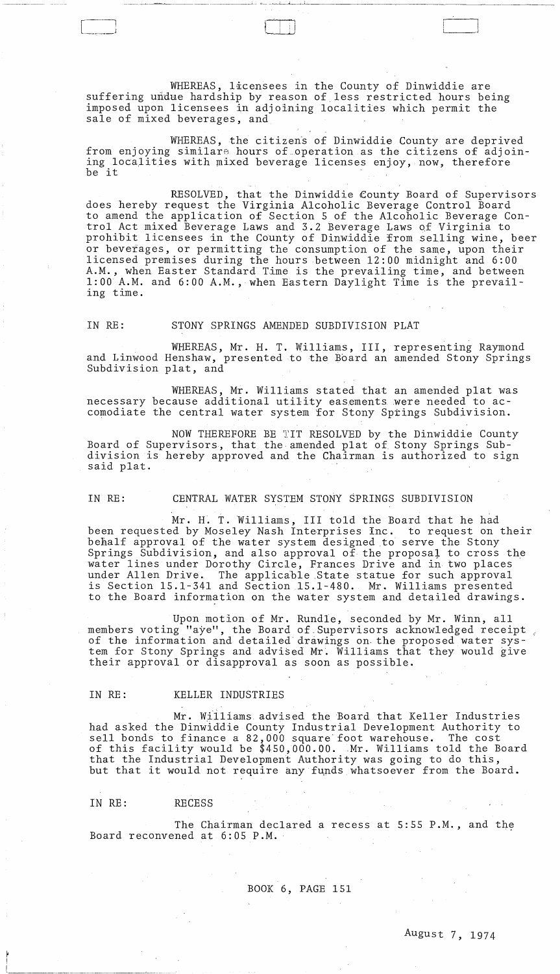WHEREAS, licensees in the County of Dinwiddie are suffering undue hardship by reason of less restricted hours being imposed upon licensees in adjoining localities which permit the sale of mixed beverages, and

~--- ~.--~-------~------~. ~ "- -~' "'--~-'---------

WHEREAS, the citizens of Dinwiddie County are deprived from enjoying similare hours of operation as the citizens of adjoining localities with mixed beverage licenses enjoy, now, therefore be it

RESOLVED, that the Dinwiddie £ounty Board of Supervisors does hereby request the Virginia Alcoholic Beverage Control Board to amend the application of Section 5 of the Alcoholic Beverage Control Act mixed Beverage Laws and 3.2 Beverage Laws Of Virginia to prohibit licensees in the County of Dinwiddie from selling wine, beer or beverages, or permitting the consumption of the same, upon their licensed premises during the hours between l2:QO midnight and 6:00 A.M., when Easter Standard Time is the prevailing time, and between 1:00 A.M. and 6:00 A.M., when Eastern Daylight Time is the prevailing time.

# IN RE: STONY SPRINGS AMENDED SUBDIVISION PLAT

WHEREAS, Mr. H. T. Williams, III, representing Raymond and Linwood Henshaw, presented to the Board an amended Stony Springs Subdivision plat, and

WHEREAS, Mr. Williams stated that an amended plat was necessary because additional utility easements were needed to accomodiate the central water system for Stony Sptings Subdivision.

NOW THEREFORE BE TIT RESOLVED by the Dinwiddie County Board of Supervisors, that the amended plat of Stony Springs Subdivision is hereby approved and the Chairman is authorized to sign said plat.

### IN RE: CENTRAL WATER SYSTEM STONY SPRINGS SUBDIVISION

Mr. H. T. Williams, III told the Board that he had been requested by Moseley Nash Interprises Inc. to request on their behalf approval of the water system designed to serve the Stony Springs Subdivision, and also approval of the proposal to cross the water lines under Dorothy Circle, Frances Drive and in two places The applicable State statue for such approval is Section 15.1-341 and Section 15.1-480. Mr. Williams presented to the Board information on the water system and detailed drawings.

Upon motion of Mr. Rundle, seconded by Mr. Winn, all members voting "aye", the Board of Supervisors acknowledged receipt of the information and detailed drawings on the proposed water system for Stony Springs and advised Mr. Williams that they would give their approval or disapproval as soon as possible.

### IN RE: KELLER INDUSTRIES

Mr. Williams advised the Board that Keller Industries had asked the Dinwiddie County Industrial Development Authority to sell bonds to finance a 82,000 square' foot warehouse. The cost of this facility would be \$450,000.00. Mr. Williams told the Board that the Industrial Development Authority was going to do this, but that it would not require any funds whatsoever from the Board.

#### IN RE: RECESS

The Chairman declared a recess at  $5:55$  P.M., and the Board reconvened at 6:05 P.M.  $\sim 100$ 

BOOK 6, PAGE 151

 $\sim 10^6$  km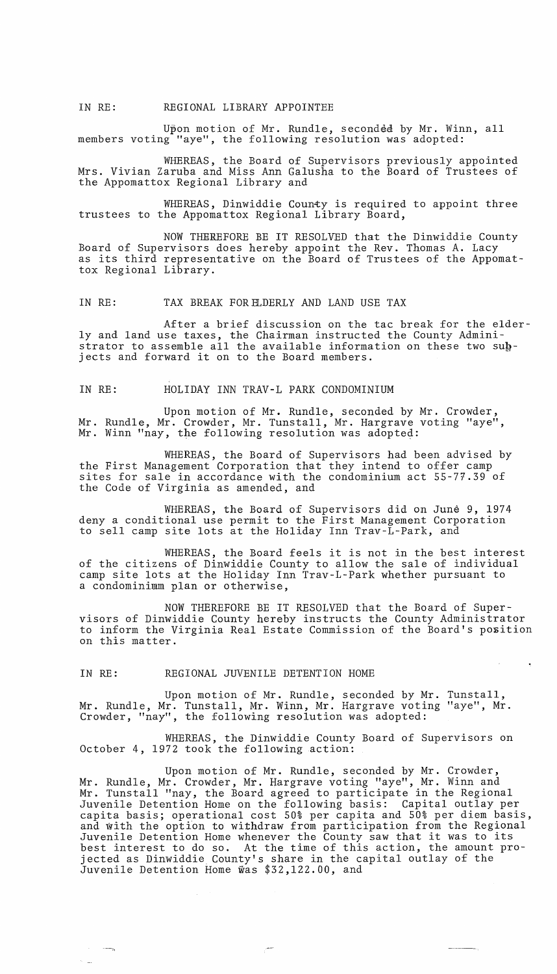Upon motion of Mr. Rundle, seconded by Mr. Winn, all members voting "aye", the following resolution was adopted:

WHEREAS, the Board of Supervisors previously appointed Mrs. Vivian Zaruba and Miss Ann Galusha to the Board of Trustees of the Appomattox Regional Library and

WHEREAS, Dinwiddie County is required to appoint three trustees to the Appomattox Regional Library Board,

NOW THEREFORE BE IT RESOLVED that the Dinwiddie County Board of Supervisors does hereby appoint the Rev. Thomas A. Lacy as its third representative on the Board of Trustees of the Appomattox Regional Library.

#### IN RE: TAX BREAK FOR ELDERLY AND LAND USE TAX

After a brief discussion on the tac break for the elderly and land use taxes, the Chairman instructed the County Administrator to assemble all the available information on these two sugjects and forward it on to the Board members.

#### IN RE: HOLIDAY INN TRAV-L PARK CONDOMINIUM

Upon motion of Mr. Rundle, seconded by Mr. Crowder, Mr. Rundle, Mr. Crowder, Mr. Tunstall, Mr. Hargrave voting "aye", Mr. Winn "nay, the following resolution was adopted:

WHEREAS, the Board of Supervisors had been advised by the First Management Corporation that they intend to offer camp sites for sale in accordance with the condominium act 55-77.39 of the Code of Virginia as amended, and

WHEREAS, the Board of Supervisors did on Juné 9, 1974 deny a conditional use permit to the First Management Corporation to sell camp site lots at the Holiday Inn Trav-L-Park, and

WHEREAS, the Board feels it is not in the best interest of the citizens of Dinwiddie County to allow the sale of individual camp site lots at the Holiday Inn Trav-L-Park whether pursuant to a condominimm plan or otherwise,

NOW THEREFORE BE IT RESOLVED that the Board of Supervisors of Dinwiddie County hereby instructs the County Administrator to inform the Virginia Real Estate Commission of the Board's position on this matter.

#### IN RE: REGIONAL JUVENILE DETENTION HOME

Upon motion of Mr. Rundle, seconded by Mr. Tunstall, Mr. Rundle, Mr. Tunstall, Mr. Winn, Mr. Hargrave voting "aye", Mr. Crowder, "nay", the following resolution was adopted:

WHEREAS, the Dinwiddie County Board of Supervisors on October 4, 1972 took the following action:

Upon motion of Mr. Rundle, seconded by Mr. Crowder, Mr. Rundle, Mr. Crowder, Mr. Hargrave voting "aye", Mr. Winn and Mr. Tunstall "nay, the Board agreed to participate in the Regional Juvenile Detention Home on the following basis: Capital outlay per capita basis; operational cost 50% per capita and 50% per diem basis, and with the option to withdraw from participation from the Regional Juvenile Detention Home whenever the County saw that it was to its best interest to do so. At the time of this action, the amount projected as Dinwiddie County's share in the capital outlay of the Juvenile Detention Home was \$32,122.00, and

 $\subset$ 

 $\sim$  $\sim$   $\sim$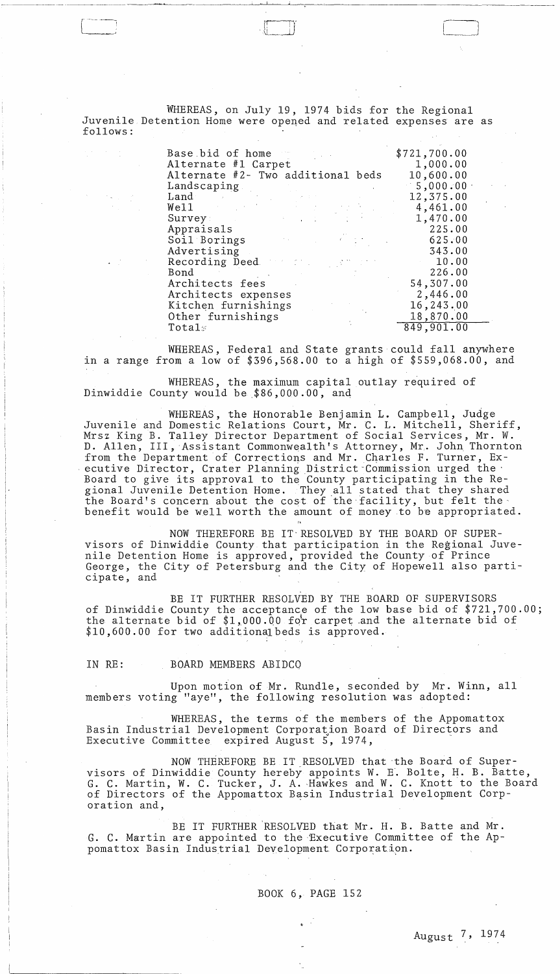WHEREAS, on July 19, 1974 bids for the Regional Juvenile Detention Home were opened and related expenses are as follows:

--~-----~-~---~--------~~-- -----~"--"--~--"-----=--~-----------------

(-----~

| Base bid of home                                       | \$721,700.00              |
|--------------------------------------------------------|---------------------------|
| Alternate #1 Carpet                                    | 1,000.00                  |
| Alternate #2- Two additional beds                      | 10,600.00                 |
| Landscaping                                            | $\leq 5$ ,000 .00 $\cdot$ |
| Land                                                   | 12,375.00                 |
| We11                                                   | 4,461.00                  |
| Survey                                                 | 1,470.00                  |
| Appraisals                                             | 225.00                    |
| Soil Borings<br>$\mathcal{C}=\mathbb{Z}^{n\times n}$ . | 625.00                    |
| Advertising                                            | 343.00                    |
| Recording Deed                                         | 10.00                     |
| Bond                                                   | 226.00                    |
| Architects fees                                        | 54,307.00                 |
| Architects expenses                                    | 2,446.00                  |
| Kitchen furnishings                                    | 16,243.00                 |
| Other furnishings                                      | 18,870.00                 |
| Totals                                                 | 849,901.00                |

WHEREAS, Federal and State grants could fall anywhere in a range from a low of \$396,568.00 to a high of \$559,068.00, and

WHEREAS, the maximum capital outlay required of Dinwiddie County would be \$86,000.00, and

WHEREAS, the Honorable Benjamin L. Campbell, Judge Juvenile and Domestic Relations Court, Mr. C. L. Mitchell, Sheriff, Mrsz King B. Talley Director Department of Social Services, Mr. W. D. Allen, III, Assistant Commonwealth's Attorney, Mr .. John Thornton from the Department of Corrections and Mr. Charles F. Turner, Ex- . ecutive Director, Crater Planning District Commission urged the Board to give its approval to the County participating in the Regional Juvenile Detention Home. They all stated that they shared groman subchine becomeion home. They are seated that any shared<br>the Board's concern about the cost of the facility, but felt the benefit would be well worth the amount of money to be appropriated.

NOW THEREFORE BE IT-RESOLVED BY THE BOARD OF SUPERvisors of Dinwiddie County that participation in the Regional Juvenile Detention Home is approved, provided the County of Prince George, the City of Petersburg and the City of Hopewell also participate, and

BE IT FURTHER RESOLVED BY THE BOARD OF SUPERVISORS of Dinwiddie County the acceptance of the low base bid of \$721,700.00; the alternate bid of \$1,000.00 for carpet and the alternate bid of \$10,600.00 for two additionalbeds is approved.

### IN RE: BOARD MEMBERS ABIDCQ

Upon motion of Mr. Rundle, seconded by Mr. Winn, all members voting "aye", the following resolution was adopted:

WHEREAS, the terms of the members of the Appomattox Basin Industrial Development Corporation Board of Directors and Executive Committee expired August 5, 1974,

NOW THEREFORE BE IT RESOLVED that the Board of Supervisors of Dinwiddie County hereby appoints W. E. Bolte, H. B. Batte, G. C. Martin, W. C. Tucker, J. A. Hawkes and W. C. Knott to the Board of Directors of the Appomattox Basin Industrial Development Corporation and,

BE IT FURTHER RESOLVED that Mr. H. B. Batte and Mr. G. C. Martin are appointed to the Executive Committee of the Appomattox Basin Industrial Development Corporation.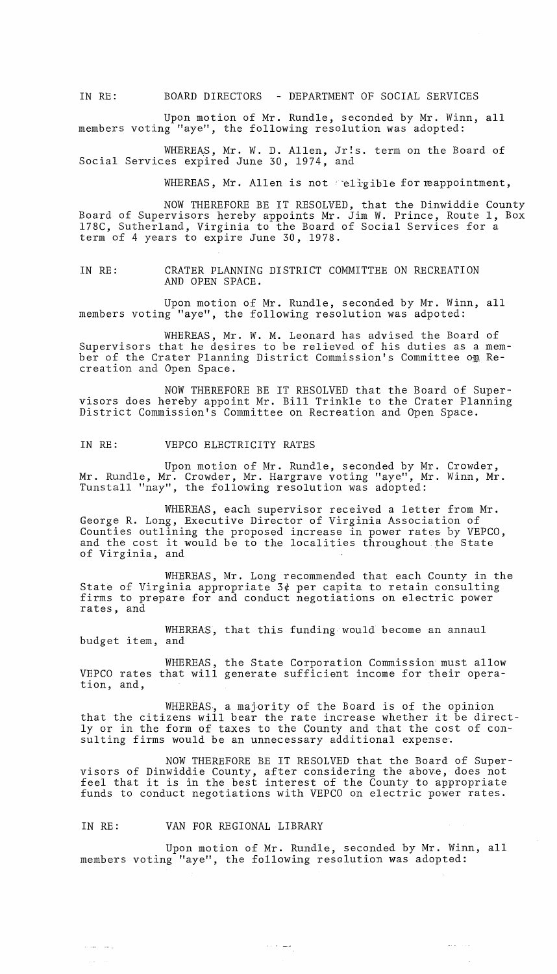Upon motion of Mr. Rundle, seconded by Mr. Winn, all members voting "aye", the following resolution was adopted:

WHEREAS, Mr. W. D. Allen, Jr!s. term on the Board of Social Services expired June 30, 1974, and

WHEREAS, Mr. Allen is not religible for reappointment,

NOW THEREFORE BE IT RESOLVED, that the Dinwiddie County Board of Supervisors hereby appoints Mr. Jim W. Prince, Route 1, Box l78C, Sutherland, Virginia to the Board of Social Services for a term of 4 years to expire June 30, 1978.

IN RE: CRATER PLANNING DISTRICT COMMITTEE ON RECREATION AND OPEN SPACE.

Upon motion of Mr. Rundle, seconded by Mr. Winn, all members voting "aye", the following resolution was adpoted:

WHEREAS, Mr. W. M. Leonard has advised the Board of Supervisors that he desires to be relieved of his duties as a member of the Crater Planning District Commission's Committee on Recreation and Open Space.

NOW THEREFORE BE IT RESOLVED that the Board of Supervisors does hereby appoint Mr. Bill Trinkle to the Crater Planning District Commission's Committee on Recreation and Open Space.

### IN RE: VEPCO ELECTRICITY RATES

Upon motion of Mr. Rundle, seconded by Mr. Crowder, Mr. Rundle, Mr. Crowder, Mr. Hargrave voting "aye", Mr. Winn, Mr. Tunstall "nay", the following resolution was adopted:

WHEREAS, each supervisor received a letter from Mr. George R. Long, Executive Director of Virginia Association of Counties outlining the proposed increase in power rates by VEPCO, and the cost it would be to the localities throughout the State of Virginia, and

WHEREAS, Mr. Long recommended that each County in the State of Virginia appropriate 3¢ per capita to retain consulting firms to prepare for and conduct negotiations on electric power rates, and

WHEREAS, that this funding would become an annaul budget item, and

WHEREAS, the State Corporation Commission must allow VEPCO rates that will generate sufficient income for their operation, and,

WHEREAS, a majority of the Board is of the opinion that the citizens will bear the rate increase whether it be directly or in the form of taxes to the County and that the cost of consulting firms would be an unnecessary additional expense'.

NOW THEREFORE BE IT RESOLVED that the Board of Supervisors of Dinwiddie County, after considering the above, does not feel that it is in the best interest of the County to appropriate funds to conduct negotiations with VEPCO on electric power rates.

#### IN RE: VAN FOR REGIONAL LIBRARY

 $\epsilon$  , and  $\epsilon$  and  $\eta$  .  $\alpha$  ,  $\alpha$  ,  $\beta$  ,  $\alpha$ 

Upon motion of Mr. Rundle, seconded by Mr. Winn, all members voting "aye", the following resolution was adopted:

 $\alpha$  ,  $\alpha$  , and  $\alpha$ 

 $\omega_{\rm{max}}$  , where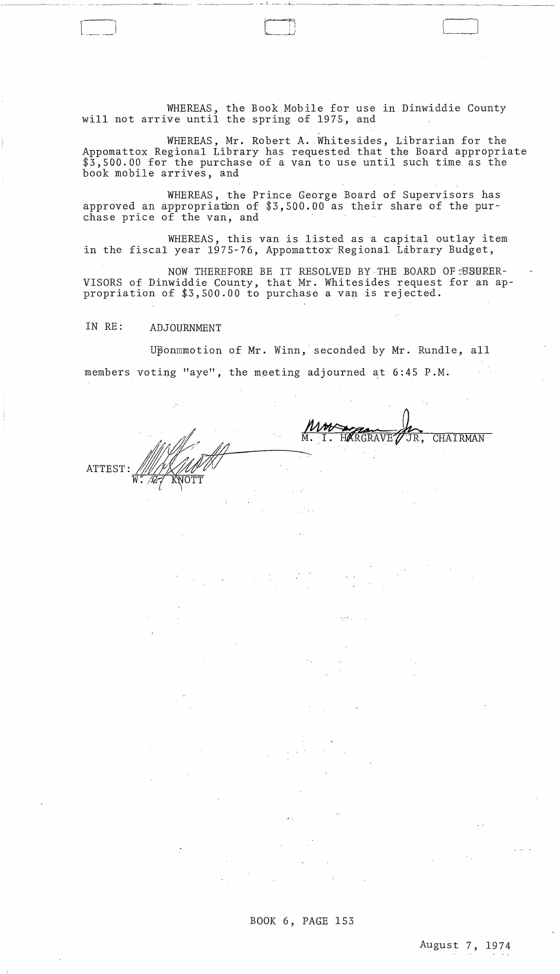WHEREAS, the Book Mobile for use in Dinwiddie County will not arrive until the spring of 1975, and

WHEREAS, Mr. Robert A. Whitesides, Librarian for the Appomattox Regional Library has requested that the Board appropriate \$3,500.00 for the purchase of a van to use until such time as the book mobile arrives, and

\_\_ <sup>~</sup>\_ ,,\_L.~ \_\_ L\_ ... \_\_\_\_\_\_\_\_\_\_\_\_\_\_\_\_\_\_\_\_ \_

WHEREAS, the Prince George Board of Supervisors has approved an appropriation of \$3,500.00 as their share of the purchase price of the van, and

WHEREAS, this van is listed as a capital outlay item in the fiscal year 1975-76, Appomattox Regional Library Budget,

NOW THEREFORE BE IT RESOLVED BY THE BOARD OF SURER-VISORS of Dinwiddie County, that Mr. Whitesides request for an appropriation of *t3,500.00* to purchase a van is rejected.

# IN RE: ADJOURNMENT

 $\boxed{\phantom{1}}$ 

Uponmmotion of Mr. Winn,' seconded by Mr. Rundle, all members voting "aye", the meeting adjourned at 6:45 P.M.

**CHAIRMAN** HARGRAVE

ATTEST:

BOOK 6, PAGE 153

August 7, 1974